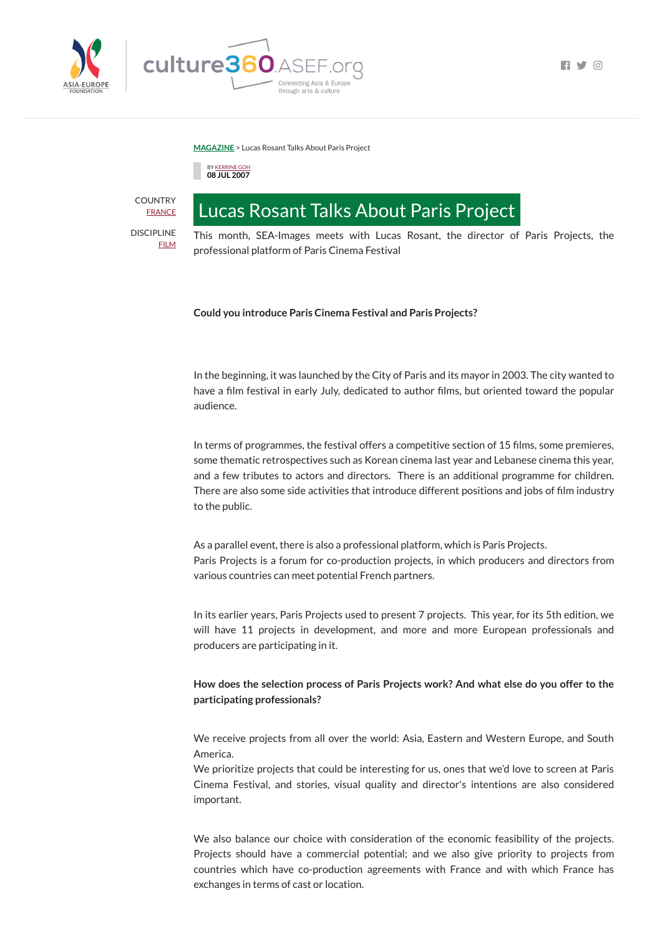

 $\blacksquare$ 

**[MAGAZINE](https://culture360.asef.org/magazine/)** > Lucas Rosant Talks About Paris Project



# Lucas Rosant Talks About Paris Project

This month, SEA-Images meets with Lucas Rosant, the director of Paris Projects, the professional platform of Paris Cinema Festival

## **Could you introduce Paris Cinema Festival and Paris Projects?**

In the beginning, it was launched by the City of Paris and its mayor in 2003. The city wanted to have a film festival in early July, dedicated to author films, but oriented toward the popular audience.

In terms of programmes, the festival offers a competitive section of 15 films, some premieres, some thematic retrospectives such as Korean cinema last year and Lebanese cinema this year, and a few tributes to actors and directors. There is an additional programme for children. There are also some side activities that introduce different positions and jobs of film industry to the public.

As a parallel event, there is also a professional platform, which is Paris Projects. Paris Projects is a forum for co-production projects, in which producers and directors from various countries can meet potential French partners.

**COUNTRY** [FRANCE](https://culture360.asef.org/countries/france/)

> In its earlier years, Paris Projects used to present 7 projects. This year, for its 5th edition, we will have 11 projects in development, and more and more European professionals and producers are participating in it.

> **How does the selection process of Paris Projects work? And what else do you offer to the participating professionals?**

> We receive projects from all over the world: Asia, Eastern and Western Europe, and South America.

> We prioritize projects that could be interesting for us, ones that we'd love to screen at Paris Cinema Festival, and stories, visual quality and director's intentions are also considered important.

> We also balance our choice with consideration of the economic feasibility of the projects. Projects should have a commercial potential; and we also give priority to projects from countries which have co-production agreements with France and with which France has exchanges in terms of cast or location.

DISCIPLINE

[FILM](https://culture360.asef.org/disciplines/film/)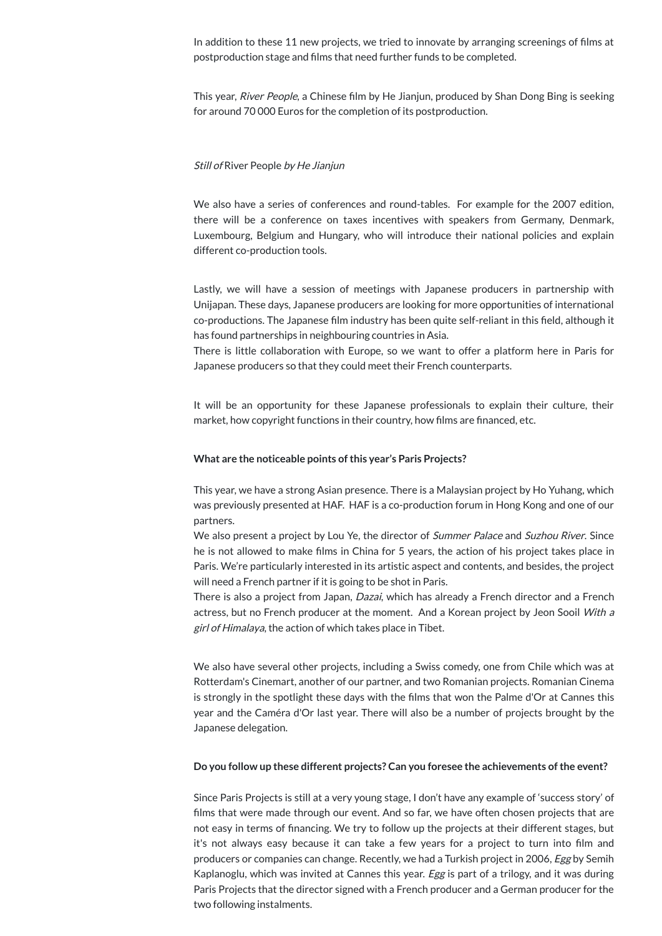In addition to these 11 new projects, we tried to innovate by arranging screenings of films at postproduction stage and films that need further funds to be completed.

This year, *River People*, a Chinese film by He Jianjun, produced by Shan Dong Bing is seeking for around 70 000 Euros for the completion of its postproduction.

### Still of River People by He Jianjun

We also have a series of conferences and round-tables. For example for the 2007 edition, there will be a conference on taxes incentives with speakers from Germany, Denmark, Luxembourg, Belgium and Hungary, who will introduce their national policies and explain different co-production tools.

It will be an opportunity for these Japanese professionals to explain their culture, their market, how copyright functions in their country, how films are financed, etc.

Lastly, we will have a session of meetings with Japanese producers in partnership with Unijapan. These days, Japanese producers are looking for more opportunities of international co-productions. The Japanese film industry has been quite self-reliant in this field, although it has found partnerships in neighbouring countries in Asia.

We also present a project by Lou Ye, the director of *Summer Palace* and *Suzhou River*. Since he is not allowed to make films in China for 5 years, the action of his project takes place in Paris. We're particularly interested in its artistic aspect and contents, and besides, the project will need a French partner if it is going to be shot in Paris.

There is little collaboration with Europe, so we want to offer a platform here in Paris for Japanese producers so that they could meet their French counterparts.

There is also a project from Japan, *Dazai*, which has already a French director and a French actress, but no French producer at the moment. And a Korean project by Jeon Sooil With a girl of Himalaya, the action of which takes place in Tibet.

We also have several other projects, including a Swiss comedy, one from Chile which was at Rotterdam's Cinemart, another of our partner, and two Romanian projects. Romanian Cinema is strongly in the spotlight these days with the films that won the Palme d'Or at Cannes this

#### **What are the noticeable points ofthis year's Paris Projects?**

This year, we have a strong Asian presence. There is a Malaysian project by Ho Yuhang, which was previously presented at HAF. HAF is a co-production forum in Hong Kong and one of our partners.

year and the Caméra d'Or last year. There will also be a number of projects brought by the Japanese delegation.

#### **Do you follow up these different projects? Can you foresee the achievements ofthe event?**

Since Paris Projects is still at a very young stage, I don't have any example of 'success story' of films that were made through our event. And so far, we have often chosen projects that are not easy in terms of financing. We try to follow up the projects at their different stages, but it's not always easy because it can take a few years for a project to turn into film and producers or companies can change. Recently, we had a Turkish project in 2006, Egg by Semih Kaplanoglu, which was invited at Cannes this year. *Egg* is part of a trilogy, and it was during Paris Projects that the director signed with a French producer and a German producer for the two following instalments.